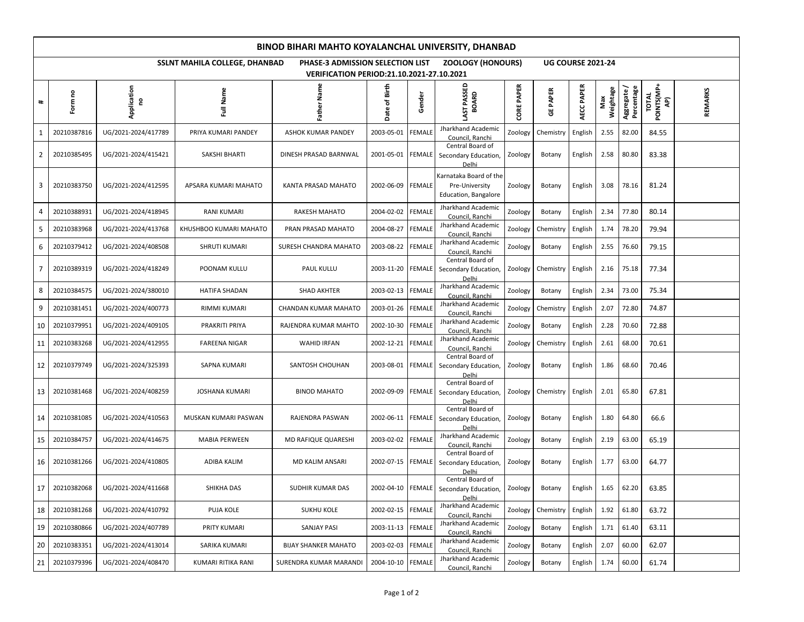| BINOD BIHARI MAHTO KOYALANCHAL UNIVERSITY, DHANBAD |                                                                                                                           |                     |                        |                             |                   |               |                                                                  |                   |                 |            |                  |                           |                                     |                |
|----------------------------------------------------|---------------------------------------------------------------------------------------------------------------------------|---------------------|------------------------|-----------------------------|-------------------|---------------|------------------------------------------------------------------|-------------------|-----------------|------------|------------------|---------------------------|-------------------------------------|----------------|
|                                                    | SSLNT MAHILA COLLEGE, DHANBAD<br>PHASE-3 ADMISSION SELECTION LIST<br><b>ZOOLOGY (HONOURS)</b><br><b>UG COURSE 2021-24</b> |                     |                        |                             |                   |               |                                                                  |                   |                 |            |                  |                           |                                     |                |
| <b>VERIFICATION PERIOD:21.10.2021-27.10.2021</b>   |                                                                                                                           |                     |                        |                             |                   |               |                                                                  |                   |                 |            |                  |                           |                                     |                |
| #                                                  | Form no                                                                                                                   | Application<br>S    | Name<br>Ž              | Father Name                 | Date of Birth     | Gender        | LAST PASSED                                                      | <b>CORE PAPER</b> | <b>GE PAPER</b> | AECC PAPER | Weightage<br>Max | Aggregate /<br>Percentage | <b>TOTAL<br/>POINTS(MP+<br/>AP)</b> | <b>REMARKS</b> |
| 1                                                  | 20210387816                                                                                                               | UG/2021-2024/417789 | PRIYA KUMARI PANDEY    | ASHOK KUMAR PANDEY          | 2003-05-01        | <b>FEMALE</b> | Jharkhand Academic<br>Council, Ranchi                            | Zoology           | Chemistry       | English    | 2.55             | 82.00                     | 84.55                               |                |
| 2                                                  | 20210385495                                                                                                               | UG/2021-2024/415421 | SAKSHI BHARTI          | DINESH PRASAD BARNWAL       | 2001-05-01 FEMALE |               | Central Board of<br>Secondary Education,<br>Delhi                | Zoology           | Botany          | English    | 2.58             | 80.80                     | 83.38                               |                |
| 3                                                  | 20210383750                                                                                                               | UG/2021-2024/412595 | APSARA KUMARI MAHATO   | KANTA PRASAD MAHATO         | 2002-06-09 FEMALE |               | Karnataka Board of the<br>Pre-University<br>Education, Bangalore | Zoology           | Botany          | English    | 3.08             | 78.16                     | 81.24                               |                |
| 4                                                  | 20210388931                                                                                                               | UG/2021-2024/418945 | RANI KUMARI            | RAKESH MAHATO               | 2004-02-02        | <b>FEMALE</b> | Jharkhand Academic<br>Council, Ranchi                            | Zoology           | Botany          | English    | 2.34             | 77.80                     | 80.14                               |                |
| 5                                                  | 20210383968                                                                                                               | UG/2021-2024/413768 | KHUSHBOO KUMARI MAHATO | PRAN PRASAD MAHATO          | 2004-08-27        | <b>FEMALE</b> | Jharkhand Academic<br>Council, Ranchi                            | Zoology           | Chemistry       | English    | 1.74             | 78.20                     | 79.94                               |                |
| 6                                                  | 20210379412                                                                                                               | UG/2021-2024/408508 | <b>SHRUTI KUMARI</b>   | SURESH CHANDRA MAHATO       | 2003-08-22        | <b>FEMALE</b> | Jharkhand Academic<br>Council, Ranchi                            | Zoology           | Botany          | English    | 2.55             | 76.60                     | 79.15                               |                |
| 7                                                  | 20210389319                                                                                                               | UG/2021-2024/418249 | POONAM KULLU           | PAUL KULLU                  | 2003-11-20 FEMALE |               | Central Board of<br>Secondary Education,<br>Delhi                | Zoology           | Chemistry       | English    | 2.16             | 75.18                     | 77.34                               |                |
| 8                                                  | 20210384575                                                                                                               | UG/2021-2024/380010 | <b>HATIFA SHADAN</b>   | <b>SHAD AKHTER</b>          | 2003-02-13        | <b>FEMALE</b> | Jharkhand Academic<br>Council, Ranchi                            | Zoology           | Botany          | English    | 2.34             | 73.00                     | 75.34                               |                |
| 9                                                  | 20210381451                                                                                                               | UG/2021-2024/400773 | RIMMI KUMARI           | CHANDAN KUMAR MAHATO        | 2003-01-26        | <b>FEMALE</b> | Jharkhand Academic<br>Council, Ranchi                            | Zoology           | Chemistry       | English    | 2.07             | 72.80                     | 74.87                               |                |
| 10                                                 | 20210379951                                                                                                               | UG/2021-2024/409105 | PRAKRITI PRIYA         | RAJENDRA KUMAR MAHTO        | 2002-10-30        | <b>FEMALE</b> | Jharkhand Academic<br>Council, Ranchi                            | Zoology           | Botany          | English    | 2.28             | 70.60                     | 72.88                               |                |
| 11                                                 | 20210383268                                                                                                               | UG/2021-2024/412955 | FAREENA NIGAR          | <b>WAHID IRFAN</b>          | 2002-12-21        | <b>FEMALE</b> | Jharkhand Academic<br>Council, Ranchi                            | Zoology           | Chemistry       | English    | 2.61             | 68.00                     | 70.61                               |                |
| 12                                                 | 20210379749                                                                                                               | UG/2021-2024/325393 | SAPNA KUMARI           | SANTOSH CHOUHAN             | 2003-08-01        | <b>FEMALE</b> | Central Board of<br>Secondary Education,<br>Delhi                | Zoology           | Botany          | English    | 1.86             | 68.60                     | 70.46                               |                |
| 13                                                 | 20210381468                                                                                                               | UG/2021-2024/408259 | <b>JOSHANA KUMARI</b>  | <b>BINOD MAHATO</b>         | 2002-09-09        | <b>FEMALE</b> | Central Board of<br>Secondary Education,<br>Delhi                | Zoology           | Chemistry       | English    | 2.01             | 65.80                     | 67.81                               |                |
| 14                                                 | 20210381085                                                                                                               | UG/2021-2024/410563 | MUSKAN KUMARI PASWAN   | RAJENDRA PASWAN             | 2002-06-11        | <b>FEMALE</b> | Central Board of<br>Secondary Education,<br>Delhi                | Zoology           | Botany          | English    | 1.80             | 64.80                     | 66.6                                |                |
| 15                                                 | 20210384757                                                                                                               | UG/2021-2024/414675 | <b>MABIA PERWEEN</b>   | MD RAFIQUE QUARESHI         | 2003-02-02        | <b>FEMALE</b> | Jharkhand Academic<br>Council, Ranchi                            | Zoology           | Botany          | English    | 2.19             | 63.00                     | 65.19                               |                |
| 16                                                 | 20210381266                                                                                                               | UG/2021-2024/410805 | ADIBA KALIM            | MD KALIM ANSARI             | 2002-07-15        | <b>FEMALE</b> | Central Board of<br>Secondary Education,<br>Delhi                | Zoology           | Botany          | English    | 1.77             | 63.00                     | 64.77                               |                |
| 17                                                 | 20210382068                                                                                                               | UG/2021-2024/411668 | SHIKHA DAS             | SUDHIR KUMAR DAS            | 2002-04-10 FEMALE |               | Central Board of<br>Secondary Education,<br>Delhi                | Zoology           | Botany          | English    | 1.65             | 62.20                     | 63.85                               |                |
| 18                                                 | 20210381268                                                                                                               | UG/2021-2024/410792 | PUJA KOLE              | <b>SUKHU KOLE</b>           | 2002-02-15        | <b>FEMALE</b> | Jharkhand Academic<br>Council, Ranchi                            | Zoology           | Chemistry       | English    | 1.92             | 61.80                     | 63.72                               |                |
| 19                                                 | 20210380866                                                                                                               | UG/2021-2024/407789 | PRITY KUMARI           | <b>SANJAY PASI</b>          | 2003-11-13        | <b>FEMALE</b> | Jharkhand Academic<br>Council, Ranchi                            | Zoology           | Botany          | English    | 1.71             | 61.40                     | 63.11                               |                |
| 20                                                 | 20210383351                                                                                                               | UG/2021-2024/413014 | SARIKA KUMARI          | <b>BIJAY SHANKER MAHATO</b> | 2003-02-03        | <b>FEMALE</b> | Jharkhand Academic<br>Council, Ranchi                            | Zoology           | Botany          | English    | 2.07             | 60.00                     | 62.07                               |                |
| 21                                                 | 20210379396                                                                                                               | UG/2021-2024/408470 | KUMARI RITIKA RANI     | SURENDRA KUMAR MARANDI      | 2004-10-10 FEMALE |               | Jharkhand Academic<br>Council, Ranchi                            | Zoology           | Botany          | English    | 1.74             | 60.00                     | 61.74                               |                |